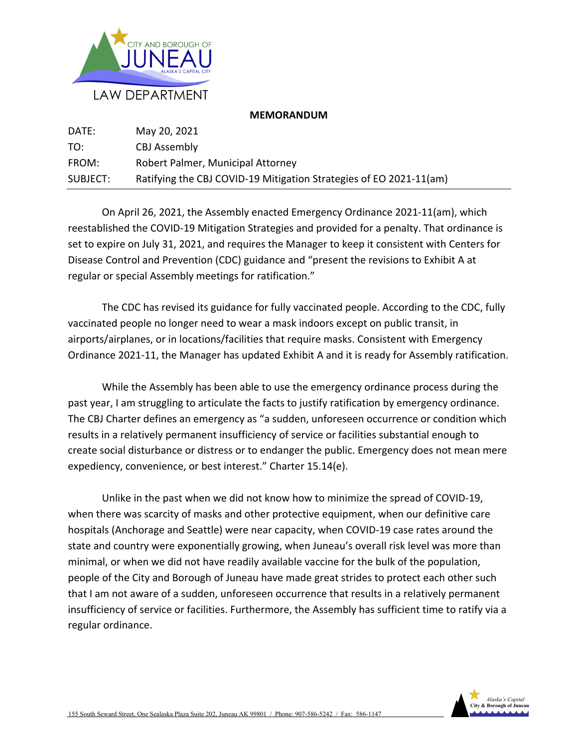

## **MEMORANDUM**

| DATE:    | May 20, 2021                                                       |
|----------|--------------------------------------------------------------------|
| TO:      | CBJ Assembly                                                       |
| FROM:    | Robert Palmer, Municipal Attorney                                  |
| SUBJECT: | Ratifying the CBJ COVID-19 Mitigation Strategies of EO 2021-11(am) |

On April 26, 2021, the Assembly enacted Emergency Ordinance 2021‐11(am), which reestablished the COVID‐19 Mitigation Strategies and provided for a penalty. That ordinance is set to expire on July 31, 2021, and requires the Manager to keep it consistent with Centers for Disease Control and Prevention (CDC) guidance and "present the revisions to Exhibit A at regular or special Assembly meetings for ratification."

The CDC has revised its guidance for fully vaccinated people. According to the CDC, fully vaccinated people no longer need to wear a mask indoors except on public transit, in airports/airplanes, or in locations/facilities that require masks. Consistent with Emergency Ordinance 2021‐11, the Manager has updated Exhibit A and it is ready for Assembly ratification.

While the Assembly has been able to use the emergency ordinance process during the past year, I am struggling to articulate the facts to justify ratification by emergency ordinance. The CBJ Charter defines an emergency as "a sudden, unforeseen occurrence or condition which results in a relatively permanent insufficiency of service or facilities substantial enough to create social disturbance or distress or to endanger the public. Emergency does not mean mere expediency, convenience, or best interest." Charter 15.14(e).

Unlike in the past when we did not know how to minimize the spread of COVID‐19, when there was scarcity of masks and other protective equipment, when our definitive care hospitals (Anchorage and Seattle) were near capacity, when COVID‐19 case rates around the state and country were exponentially growing, when Juneau's overall risk level was more than minimal, or when we did not have readily available vaccine for the bulk of the population, people of the City and Borough of Juneau have made great strides to protect each other such that I am not aware of a sudden, unforeseen occurrence that results in a relatively permanent insufficiency of service or facilities. Furthermore, the Assembly has sufficient time to ratify via a regular ordinance.